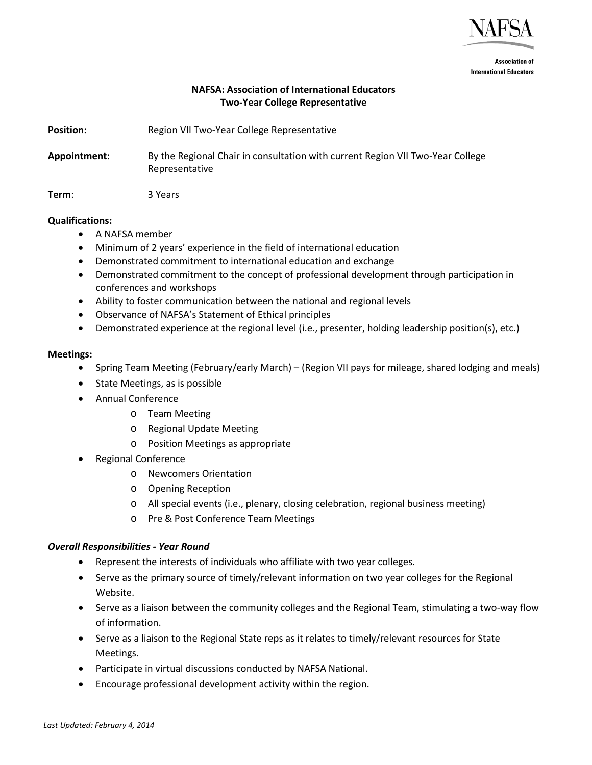

**Association of International Educators** 

# **NAFSA: Association of International Educators Two-Year College Representative**

| <b>Position:</b> | Region VII Two-Year College Representative                                                       |
|------------------|--------------------------------------------------------------------------------------------------|
| Appointment:     | By the Regional Chair in consultation with current Region VII Two-Year College<br>Representative |
| Term:            | 3 Years                                                                                          |

### **Qualifications:**

- A NAFSA member
- Minimum of 2 years' experience in the field of international education
- Demonstrated commitment to international education and exchange
- Demonstrated commitment to the concept of professional development through participation in conferences and workshops
- Ability to foster communication between the national and regional levels
- Observance of NAFSA's Statement of Ethical principles
- Demonstrated experience at the regional level (i.e., presenter, holding leadership position(s), etc.)

### **Meetings:**

- Spring Team Meeting (February/early March) (Region VII pays for mileage, shared lodging and meals)
- State Meetings, as is possible
- Annual Conference
	- o Team Meeting
	- o Regional Update Meeting
	- o Position Meetings as appropriate
- Regional Conference
	- o Newcomers Orientation
	- o Opening Reception
	- o All special events (i.e., plenary, closing celebration, regional business meeting)
	- o Pre & Post Conference Team Meetings

### *Overall Responsibilities - Year Round*

- Represent the interests of individuals who affiliate with two year colleges.
- Serve as the primary source of timely/relevant information on two year colleges for the Regional Website.
- Serve as a liaison between the community colleges and the Regional Team, stimulating a two-way flow of information.
- Serve as a liaison to the Regional State reps as it relates to timely/relevant resources for State Meetings.
- Participate in virtual discussions conducted by NAFSA National.
- Encourage professional development activity within the region.